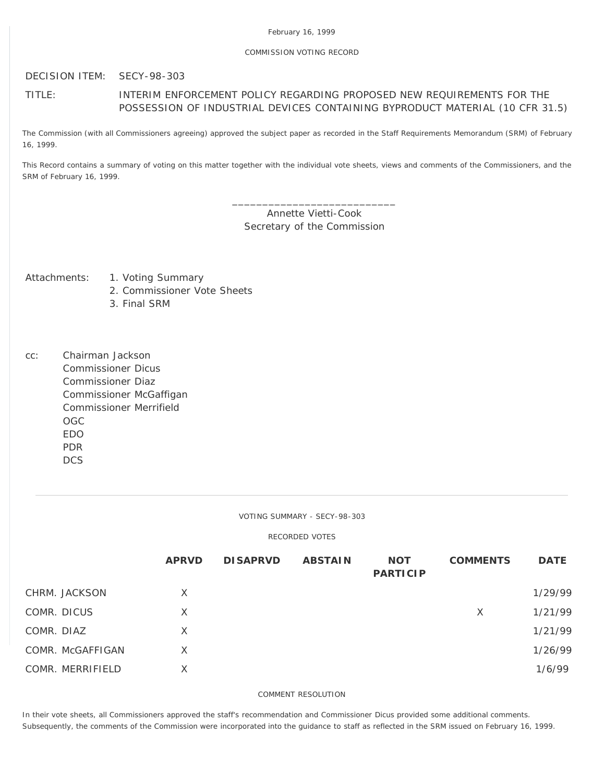## COMMISSION VOTING RECORD

DECISION ITEM: SECY-98-303

## TITLE: INTERIM ENFORCEMENT POLICY REGARDING PROPOSED NEW REQUIREMENTS FOR THE POSSESSION OF INDUSTRIAL DEVICES CONTAINING BYPRODUCT MATERIAL (10 CFR 31.5)

The Commission (with all Commissioners agreeing) approved the subject paper as recorded in the Staff Requirements Memorandum (SRM) of February 16, 1999.

This Record contains a summary of voting on this matter together with the individual vote sheets, views and comments of the Commissioners, and the SRM of February 16, 1999.

> \_\_\_\_\_\_\_\_\_\_\_\_\_\_\_\_\_\_\_\_\_\_\_\_\_\_\_ Annette Vietti-Cook Secretary of the Commission

- Attachments: 1. Voting Summary
	- 2. Commissioner Vote Sheets
	- 3. Final SRM
- cc: Chairman Jackson Commissioner Dicus Commissioner Diaz Commissioner McGaffigan Commissioner Merrifield OGC EDO PDR **DCS**

VOTING SUMMARY - SECY-98-303

RECORDED VOTES

|                  | <b>APRVD</b> | <b>DISAPRVD</b> | <b>ABSTAIN</b> | <b>NOT</b><br><b>PARTICIP</b> | <b>COMMENTS</b> | <b>DATE</b> |
|------------------|--------------|-----------------|----------------|-------------------------------|-----------------|-------------|
| CHRM. JACKSON    | X            |                 |                |                               |                 | 1/29/99     |
| COMR. DICUS      | X            |                 |                |                               | X               | 1/21/99     |
| COMR. DIAZ       | X            |                 |                |                               |                 | 1/21/99     |
| COMR. McGAFFIGAN | X            |                 |                |                               |                 | 1/26/99     |
| COMR. MERRIFIELD | X            |                 |                |                               |                 | 1/6/99      |

COMMENT RESOLUTION

In their vote sheets, all Commissioners approved the staff's recommendation and Commissioner Dicus provided some additional comments. Subsequently, the comments of the Commission were incorporated into the guidance to staff as reflected in the SRM issued on February 16, 1999.